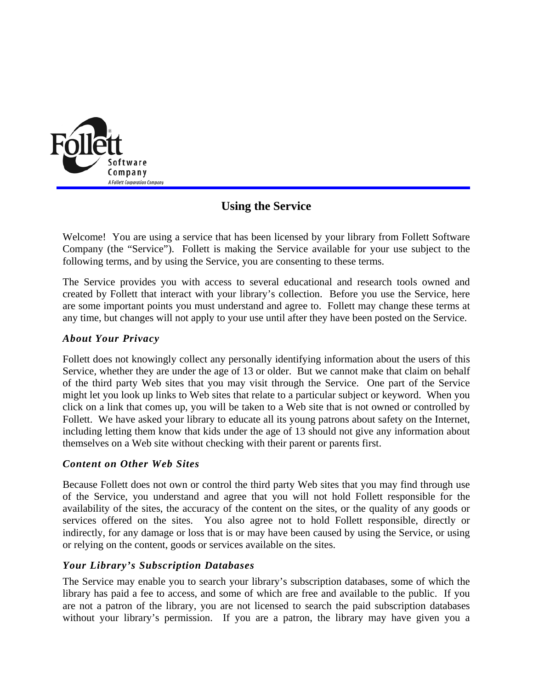

# **Using the Service**

Welcome! You are using a service that has been licensed by your library from Follett Software Company (the "Service"). Follett is making the Service available for your use subject to the following terms, and by using the Service, you are consenting to these terms.

The Service provides you with access to several educational and research tools owned and created by Follett that interact with your library's collection. Before you use the Service, here are some important points you must understand and agree to. Follett may change these terms at any time, but changes will not apply to your use until after they have been posted on the Service.

# *About Your Privacy*

Follett does not knowingly collect any personally identifying information about the users of this Service, whether they are under the age of 13 or older. But we cannot make that claim on behalf of the third party Web sites that you may visit through the Service. One part of the Service might let you look up links to Web sites that relate to a particular subject or keyword. When you click on a link that comes up, you will be taken to a Web site that is not owned or controlled by Follett. We have asked your library to educate all its young patrons about safety on the Internet, including letting them know that kids under the age of 13 should not give any information about themselves on a Web site without checking with their parent or parents first.

#### *Content on Other Web Sites*

Because Follett does not own or control the third party Web sites that you may find through use of the Service, you understand and agree that you will not hold Follett responsible for the availability of the sites, the accuracy of the content on the sites, or the quality of any goods or services offered on the sites. You also agree not to hold Follett responsible, directly or indirectly, for any damage or loss that is or may have been caused by using the Service, or using or relying on the content, goods or services available on the sites.

# *Your Library's Subscription Databases*

The Service may enable you to search your library's subscription databases, some of which the library has paid a fee to access, and some of which are free and available to the public. If you are not a patron of the library, you are not licensed to search the paid subscription databases without your library's permission. If you are a patron, the library may have given you a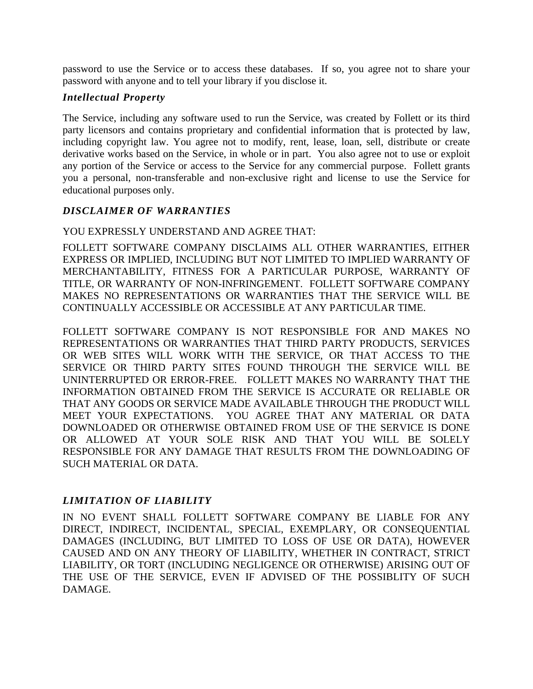password to use the Service or to access these databases. If so, you agree not to share your password with anyone and to tell your library if you disclose it.

## *Intellectual Property*

The Service, including any software used to run the Service, was created by Follett or its third party licensors and contains proprietary and confidential information that is protected by law, including copyright law. You agree not to modify, rent, lease, loan, sell, distribute or create derivative works based on the Service, in whole or in part. You also agree not to use or exploit any portion of the Service or access to the Service for any commercial purpose. Follett grants you a personal, non-transferable and non-exclusive right and license to use the Service for educational purposes only.

# *DISCLAIMER OF WARRANTIES*

### YOU EXPRESSLY UNDERSTAND AND AGREE THAT:

FOLLETT SOFTWARE COMPANY DISCLAIMS ALL OTHER WARRANTIES, EITHER EXPRESS OR IMPLIED, INCLUDING BUT NOT LIMITED TO IMPLIED WARRANTY OF MERCHANTABILITY, FITNESS FOR A PARTICULAR PURPOSE, WARRANTY OF TITLE, OR WARRANTY OF NON-INFRINGEMENT. FOLLETT SOFTWARE COMPANY MAKES NO REPRESENTATIONS OR WARRANTIES THAT THE SERVICE WILL BE CONTINUALLY ACCESSIBLE OR ACCESSIBLE AT ANY PARTICULAR TIME.

FOLLETT SOFTWARE COMPANY IS NOT RESPONSIBLE FOR AND MAKES NO REPRESENTATIONS OR WARRANTIES THAT THIRD PARTY PRODUCTS, SERVICES OR WEB SITES WILL WORK WITH THE SERVICE, OR THAT ACCESS TO THE SERVICE OR THIRD PARTY SITES FOUND THROUGH THE SERVICE WILL BE UNINTERRUPTED OR ERROR-FREE. FOLLETT MAKES NO WARRANTY THAT THE INFORMATION OBTAINED FROM THE SERVICE IS ACCURATE OR RELIABLE OR THAT ANY GOODS OR SERVICE MADE AVAILABLE THROUGH THE PRODUCT WILL MEET YOUR EXPECTATIONS. YOU AGREE THAT ANY MATERIAL OR DATA DOWNLOADED OR OTHERWISE OBTAINED FROM USE OF THE SERVICE IS DONE OR ALLOWED AT YOUR SOLE RISK AND THAT YOU WILL BE SOLELY RESPONSIBLE FOR ANY DAMAGE THAT RESULTS FROM THE DOWNLOADING OF SUCH MATERIAL OR DATA.

# *LIMITATION OF LIABILITY*

IN NO EVENT SHALL FOLLETT SOFTWARE COMPANY BE LIABLE FOR ANY DIRECT, INDIRECT, INCIDENTAL, SPECIAL, EXEMPLARY, OR CONSEQUENTIAL DAMAGES (INCLUDING, BUT LIMITED TO LOSS OF USE OR DATA), HOWEVER CAUSED AND ON ANY THEORY OF LIABILITY, WHETHER IN CONTRACT, STRICT LIABILITY, OR TORT (INCLUDING NEGLIGENCE OR OTHERWISE) ARISING OUT OF THE USE OF THE SERVICE, EVEN IF ADVISED OF THE POSSIBLITY OF SUCH DAMAGE.